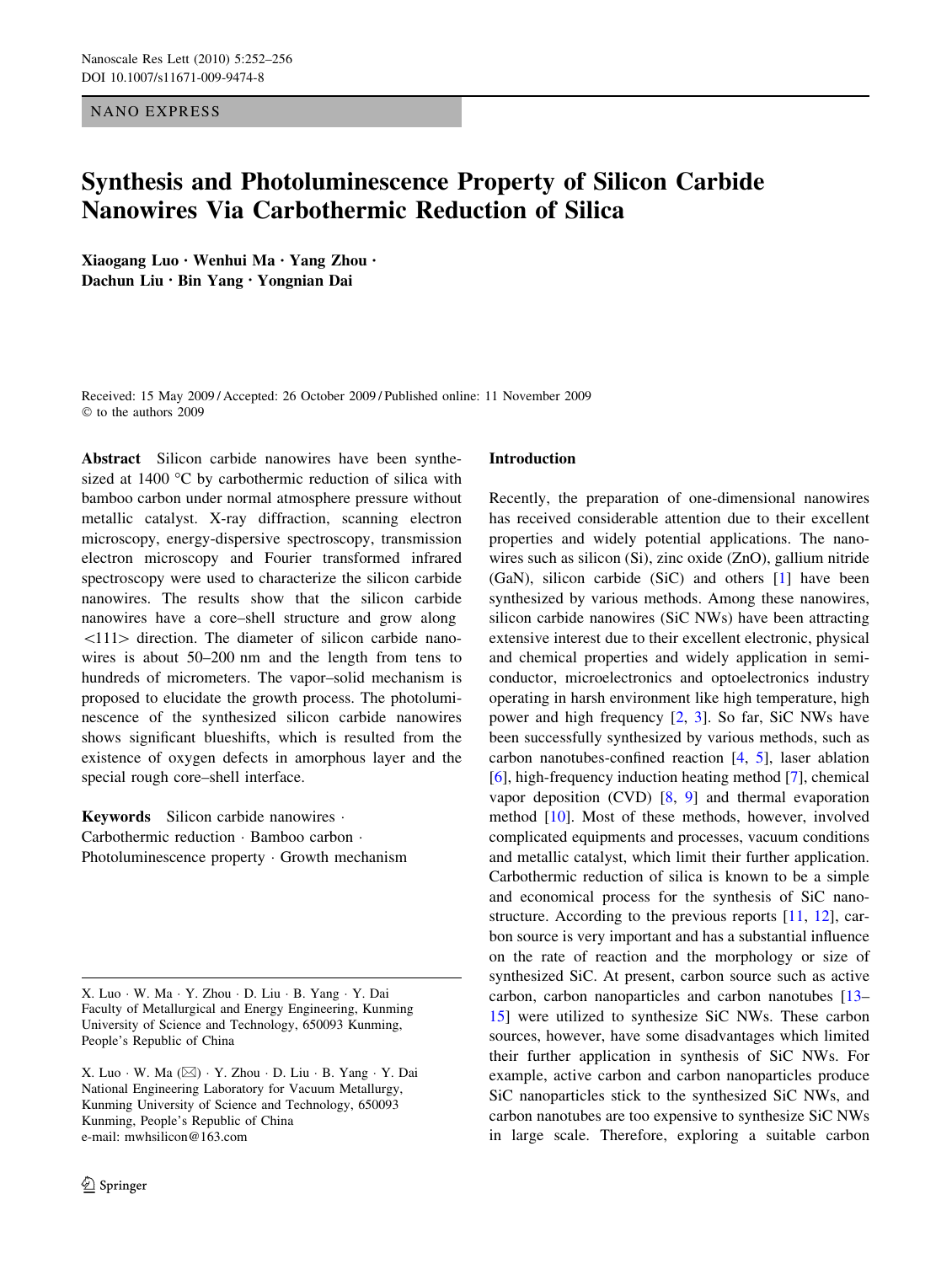NANO EXPRESS

# Synthesis and Photoluminescence Property of Silicon Carbide Nanowires Via Carbothermic Reduction of Silica

Xiaogang Luo • Wenhui Ma • Yang Zhou • Dachun Liu • Bin Yang • Yongnian Dai

Received: 15 May 2009 / Accepted: 26 October 2009 / Published online: 11 November 2009  $©$  to the authors 2009

Abstract Silicon carbide nanowires have been synthesized at  $1400$  °C by carbothermic reduction of silica with bamboo carbon under normal atmosphere pressure without metallic catalyst. X-ray diffraction, scanning electron microscopy, energy-dispersive spectroscopy, transmission electron microscopy and Fourier transformed infrared spectroscopy were used to characterize the silicon carbide nanowires. The results show that the silicon carbide nanowires have a core–shell structure and grow along  $\langle 111 \rangle$  direction. The diameter of silicon carbide nanowires is about 50–200 nm and the length from tens to hundreds of micrometers. The vapor–solid mechanism is proposed to elucidate the growth process. The photoluminescence of the synthesized silicon carbide nanowires shows significant blueshifts, which is resulted from the existence of oxygen defects in amorphous layer and the special rough core–shell interface.

Keywords Silicon carbide nanowires . Carbothermic reduction · Bamboo carbon · Photoluminescence property  $\cdot$  Growth mechanism

# Introduction

Recently, the preparation of one-dimensional nanowires has received considerable attention due to their excellent properties and widely potential applications. The nanowires such as silicon (Si), zinc oxide (ZnO), gallium nitride (GaN), silicon carbide (SiC) and others [\[1](#page-4-0)] have been synthesized by various methods. Among these nanowires, silicon carbide nanowires (SiC NWs) have been attracting extensive interest due to their excellent electronic, physical and chemical properties and widely application in semiconductor, microelectronics and optoelectronics industry operating in harsh environment like high temperature, high power and high frequency  $[2, 3]$  $[2, 3]$  $[2, 3]$  $[2, 3]$ . So far, SiC NWs have been successfully synthesized by various methods, such as carbon nanotubes-confined reaction [[4](#page-4-0), [5](#page-4-0)], laser ablation [\[6](#page-4-0)], high-frequency induction heating method [[7\]](#page-4-0), chemical vapor deposition (CVD) [\[8](#page-4-0), [9\]](#page-4-0) and thermal evaporation method [[10\]](#page-4-0). Most of these methods, however, involved complicated equipments and processes, vacuum conditions and metallic catalyst, which limit their further application. Carbothermic reduction of silica is known to be a simple and economical process for the synthesis of SiC nanostructure. According to the previous reports [\[11](#page-4-0), [12](#page-4-0)], carbon source is very important and has a substantial influence on the rate of reaction and the morphology or size of synthesized SiC. At present, carbon source such as active carbon, carbon nanoparticles and carbon nanotubes [\[13](#page-4-0)– [15](#page-4-0)] were utilized to synthesize SiC NWs. These carbon sources, however, have some disadvantages which limited their further application in synthesis of SiC NWs. For example, active carbon and carbon nanoparticles produce SiC nanoparticles stick to the synthesized SiC NWs, and carbon nanotubes are too expensive to synthesize SiC NWs in large scale. Therefore, exploring a suitable carbon

X. Luo · W. Ma · Y. Zhou · D. Liu · B. Yang · Y. Dai Faculty of Metallurgical and Energy Engineering, Kunming University of Science and Technology, 650093 Kunming, People's Republic of China

X. Luo · W. Ma (⊠) · Y. Zhou · D. Liu · B. Yang · Y. Dai National Engineering Laboratory for Vacuum Metallurgy, Kunming University of Science and Technology, 650093 Kunming, People's Republic of China e-mail: mwhsilicon@163.com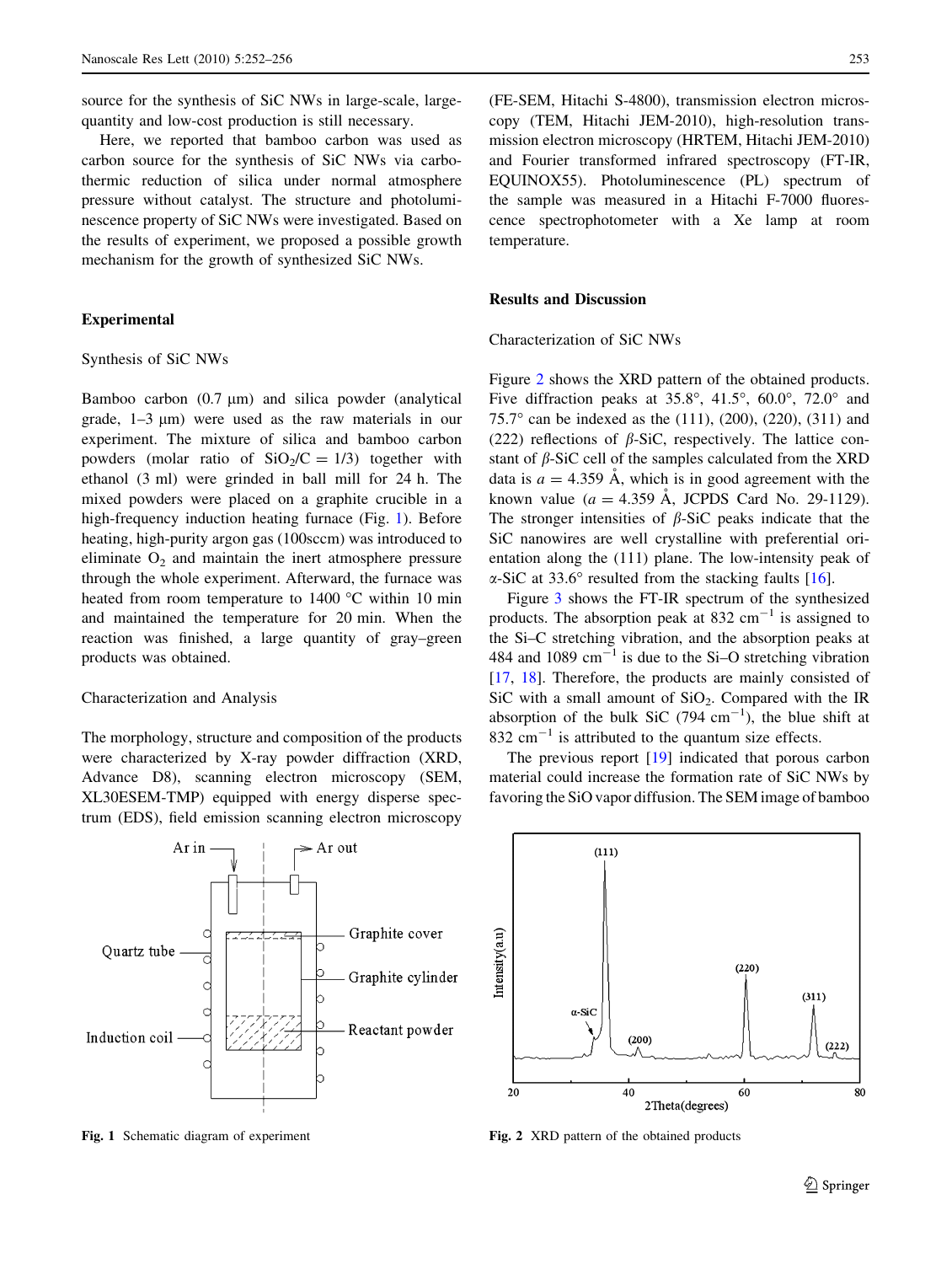source for the synthesis of SiC NWs in large-scale, largequantity and low-cost production is still necessary.

Here, we reported that bamboo carbon was used as carbon source for the synthesis of SiC NWs via carbothermic reduction of silica under normal atmosphere pressure without catalyst. The structure and photoluminescence property of SiC NWs were investigated. Based on the results of experiment, we proposed a possible growth mechanism for the growth of synthesized SiC NWs.

## Experimental

#### Synthesis of SiC NWs

Bamboo carbon  $(0.7 \mu m)$  and silica powder (analytical grade,  $1-3 \mu m$ ) were used as the raw materials in our experiment. The mixture of silica and bamboo carbon powders (molar ratio of  $SiO<sub>2</sub>/C = 1/3$ ) together with ethanol (3 ml) were grinded in ball mill for 24 h. The mixed powders were placed on a graphite crucible in a high-frequency induction heating furnace (Fig. 1). Before heating, high-purity argon gas (100sccm) was introduced to eliminate  $O_2$  and maintain the inert atmosphere pressure through the whole experiment. Afterward, the furnace was heated from room temperature to  $1400$  °C within 10 min and maintained the temperature for 20 min. When the reaction was finished, a large quantity of gray–green products was obtained.

#### Characterization and Analysis

The morphology, structure and composition of the products were characterized by X-ray powder diffraction (XRD, Advance D8), scanning electron microscopy (SEM, XL30ESEM-TMP) equipped with energy disperse spectrum (EDS), field emission scanning electron microscopy



(FE-SEM, Hitachi S-4800), transmission electron microscopy (TEM, Hitachi JEM-2010), high-resolution transmission electron microscopy (HRTEM, Hitachi JEM-2010) and Fourier transformed infrared spectroscopy (FT-IR, EQUINOX55). Photoluminescence (PL) spectrum of the sample was measured in a Hitachi F-7000 fluorescence spectrophotometer with a Xe lamp at room temperature.

## Results and Discussion

Characterization of SiC NWs

Figure 2 shows the XRD pattern of the obtained products. Five diffraction peaks at 35.8°, 41.5°, 60.0°, 72.0° and 75.7° can be indexed as the  $(111)$ ,  $(200)$ ,  $(220)$ ,  $(311)$  and (222) reflections of  $\beta$ -SiC, respectively. The lattice constant of  $\beta$ -SiC cell of the samples calculated from the XRD data is  $a = 4.359$  Å, which is in good agreement with the known value ( $a = 4.359$  Å, JCPDS Card No. 29-1129). The stronger intensities of  $\beta$ -SiC peaks indicate that the SiC nanowires are well crystalline with preferential orientation along the (111) plane. The low-intensity peak of  $\alpha$ -SiC at 33.6° resulted from the stacking faults [\[16](#page-4-0)].

Figure [3](#page-2-0) shows the FT-IR spectrum of the synthesized products. The absorption peak at 832 cm<sup> $-1$ </sup> is assigned to the Si–C stretching vibration, and the absorption peaks at 484 and 1089  $\text{cm}^{-1}$  is due to the Si-O stretching vibration [\[17](#page-4-0), [18\]](#page-4-0). Therefore, the products are mainly consisted of SiC with a small amount of  $SiO<sub>2</sub>$ . Compared with the IR absorption of the bulk SiC (794  $cm^{-1}$ ), the blue shift at 832  $\text{cm}^{-1}$  is attributed to the quantum size effects.

The previous report [[19\]](#page-4-0) indicated that porous carbon material could increase the formation rate of SiC NWs by favoring the SiO vapor diffusion. The SEM image of bamboo



Fig. 1 Schematic diagram of experiment Fig. 2 XRD pattern of the obtained products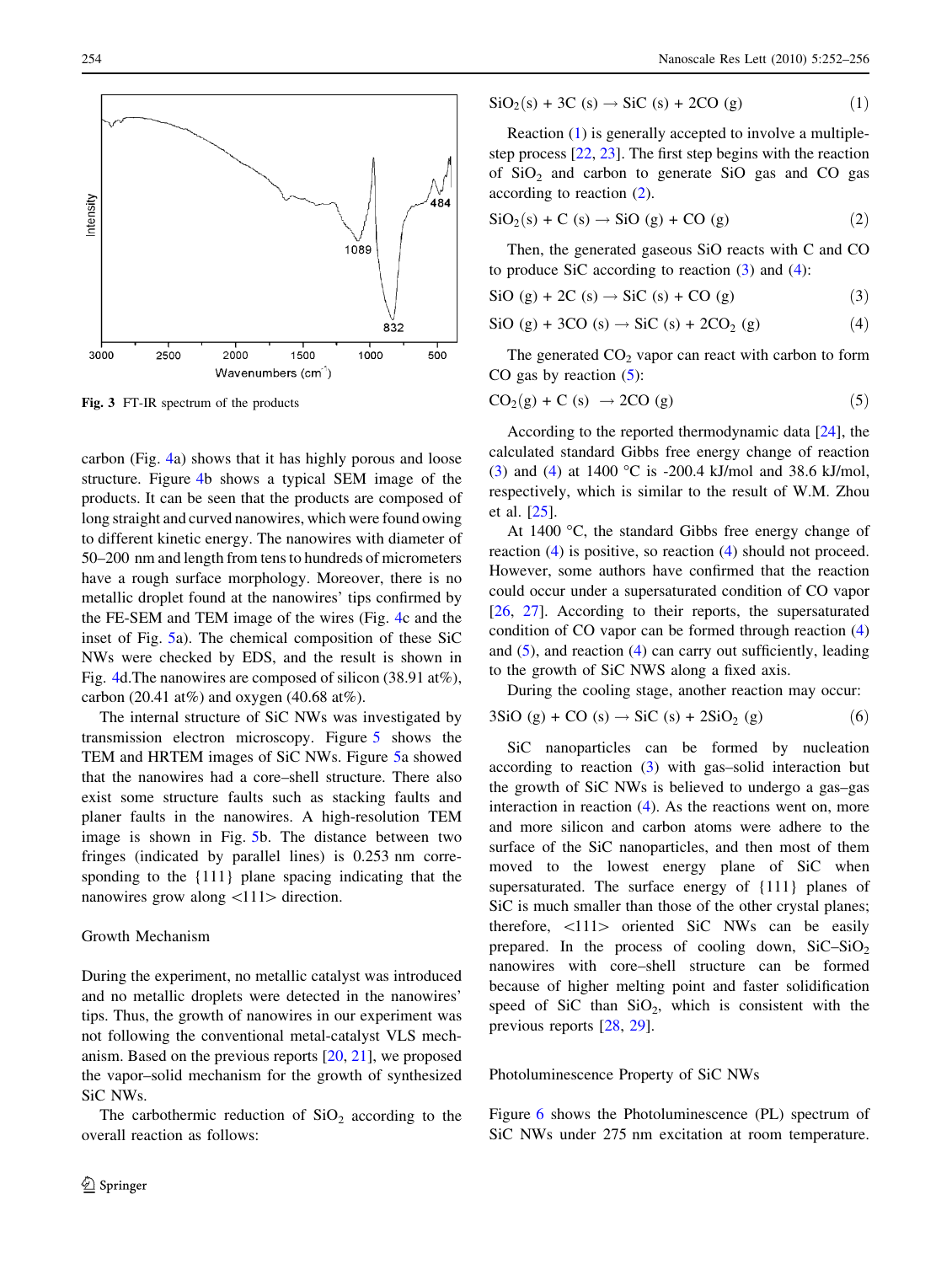<span id="page-2-0"></span>

Fig. 3 FT-IR spectrum of the products

carbon (Fig. [4a](#page-3-0)) shows that it has highly porous and loose structure. Figure [4b](#page-3-0) shows a typical SEM image of the products. It can be seen that the products are composed of long straight and curved nanowires, which were found owing to different kinetic energy. The nanowires with diameter of 50–200 nm and length from tens to hundreds of micrometers have a rough surface morphology. Moreover, there is no metallic droplet found at the nanowires' tips confirmed by the FE-SEM and TEM image of the wires (Fig. [4](#page-3-0)c and the inset of Fig. [5](#page-3-0)a). The chemical composition of these SiC NWs were checked by EDS, and the result is shown in Fig. [4](#page-3-0)d.The nanowires are composed of silicon (38.91 at%), carbon (20.41 at%) and oxygen (40.68 at%).

The internal structure of SiC NWs was investigated by transmission electron microscopy. Figure [5](#page-3-0) shows the TEM and HRTEM images of SiC NWs. Figure [5](#page-3-0)a showed that the nanowires had a core–shell structure. There also exist some structure faults such as stacking faults and planer faults in the nanowires. A high-resolution TEM image is shown in Fig. [5](#page-3-0)b. The distance between two fringes (indicated by parallel lines) is 0.253 nm corresponding to the {111} plane spacing indicating that the nanowires grow along  $\langle 111 \rangle$  direction.

## Growth Mechanism

During the experiment, no metallic catalyst was introduced and no metallic droplets were detected in the nanowires' tips. Thus, the growth of nanowires in our experiment was not following the conventional metal-catalyst VLS mechanism. Based on the previous reports [[20,](#page-4-0) [21\]](#page-4-0), we proposed the vapor–solid mechanism for the growth of synthesized SiC NWs.

The carbothermic reduction of  $SiO<sub>2</sub>$  according to the overall reaction as follows:

$$
SiO2(s) + 3C (s) \rightarrow SiC (s) + 2CO (g)
$$
 (1)

Reaction (1) is generally accepted to involve a multiplestep process [\[22](#page-4-0), [23](#page-4-0)]. The first step begins with the reaction of  $SiO<sub>2</sub>$  and carbon to generate  $SiO$  gas and CO gas according to reaction (2).

$$
SiO2(s) + C (s) \rightarrow SiO (g) + CO (g)
$$
 (2)

Then, the generated gaseous SiO reacts with C and CO to produce SiC according to reaction  $(3)$  and  $(4)$ :

$$
\text{SiO (g)} + 2\text{C (s)} \rightarrow \text{SiC (s)} + \text{CO (g)}\tag{3}
$$

$$
\text{SiO (g)} + 3\text{CO (s)} \rightarrow \text{SiC (s)} + 2\text{CO}_2 \text{ (g)}\tag{4}
$$

The generated  $CO<sub>2</sub>$  vapor can react with carbon to form CO gas by reaction  $(5)$ :

$$
CO2(g) + C (s) \rightarrow 2CO (g)
$$
 (5)

According to the reported thermodynamic data [\[24](#page-4-0)], the calculated standard Gibbs free energy change of reaction (3) and (4) at 1400 °C is -200.4 kJ/mol and 38.6 kJ/mol, respectively, which is similar to the result of W.M. Zhou et al. [\[25](#page-4-0)].

At 1400  $\degree$ C, the standard Gibbs free energy change of reaction (4) is positive, so reaction (4) should not proceed. However, some authors have confirmed that the reaction could occur under a supersaturated condition of CO vapor [\[26](#page-4-0), [27](#page-4-0)]. According to their reports, the supersaturated condition of CO vapor can be formed through reaction (4) and (5), and reaction (4) can carry out sufficiently, leading to the growth of SiC NWS along a fixed axis.

During the cooling stage, another reaction may occur:

$$
3SiO(g) + CO(s) \rightarrow SiC(s) + 2SiO2(g)
$$
 (6)

SiC nanoparticles can be formed by nucleation according to reaction (3) with gas–solid interaction but the growth of SiC NWs is believed to undergo a gas–gas interaction in reaction  $(4)$ . As the reactions went on, more and more silicon and carbon atoms were adhere to the surface of the SiC nanoparticles, and then most of them moved to the lowest energy plane of SiC when supersaturated. The surface energy of {111} planes of SiC is much smaller than those of the other crystal planes; therefore,  $\langle 111 \rangle$  oriented SiC NWs can be easily prepared. In the process of cooling down,  $SiC-SiO<sub>2</sub>$ nanowires with core–shell structure can be formed because of higher melting point and faster solidification speed of SiC than  $SiO<sub>2</sub>$ , which is consistent with the previous reports [\[28](#page-4-0), [29](#page-4-0)].

# Photoluminescence Property of SiC NWs

Figure [6](#page-4-0) shows the Photoluminescence (PL) spectrum of SiC NWs under 275 nm excitation at room temperature.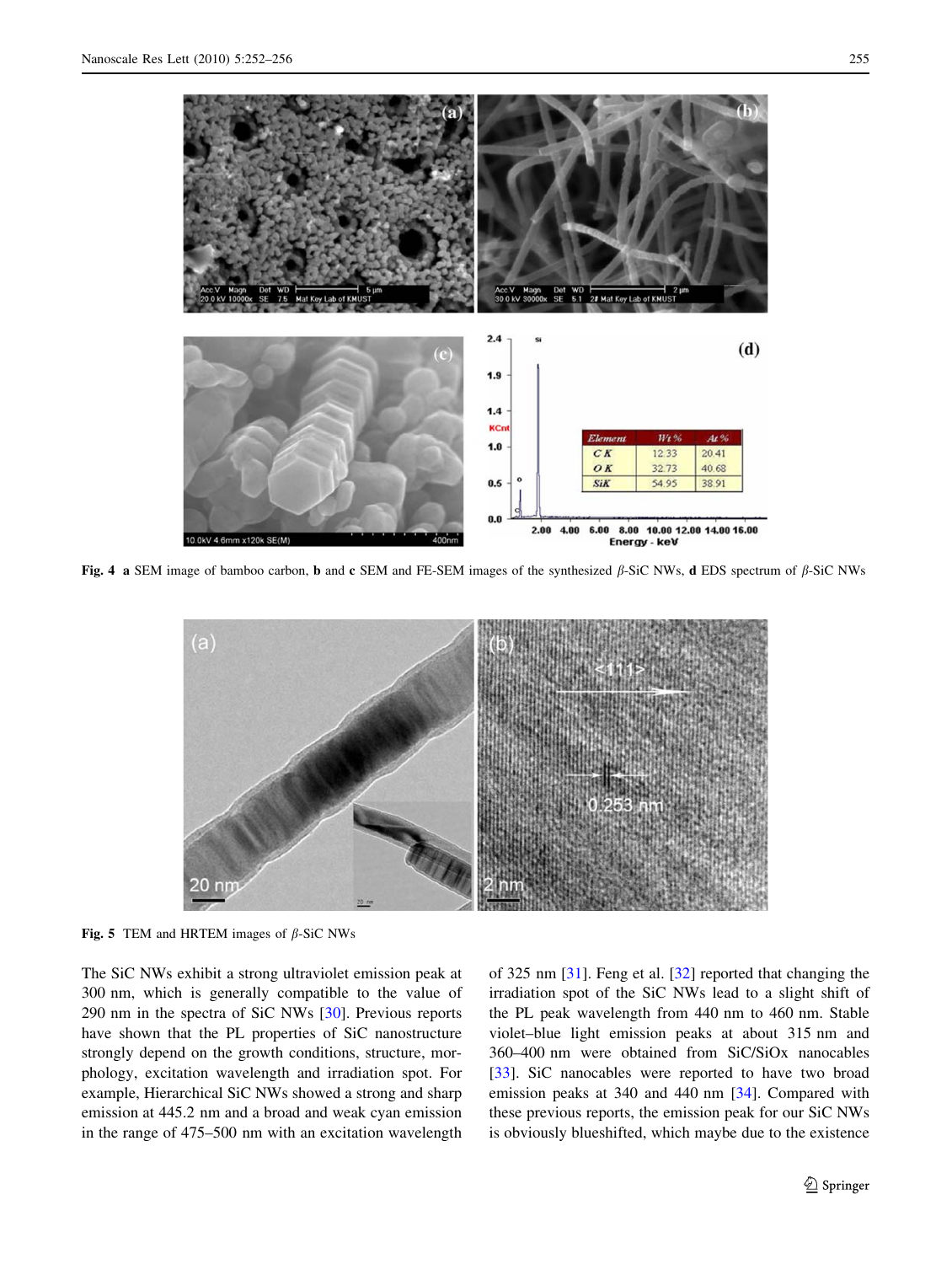<span id="page-3-0"></span>

Fig. 4 a SEM image of bamboo carbon, b and c SEM and FE-SEM images of the synthesized  $\beta$ -SiC NWs, d EDS spectrum of  $\beta$ -SiC NWs



Fig. 5 TEM and HRTEM images of  $\beta$ -SiC NWs

The SiC NWs exhibit a strong ultraviolet emission peak at 300 nm, which is generally compatible to the value of 290 nm in the spectra of SiC NWs [\[30](#page-4-0)]. Previous reports have shown that the PL properties of SiC nanostructure strongly depend on the growth conditions, structure, morphology, excitation wavelength and irradiation spot. For example, Hierarchical SiC NWs showed a strong and sharp emission at 445.2 nm and a broad and weak cyan emission in the range of 475–500 nm with an excitation wavelength of 325 nm [[31\]](#page-4-0). Feng et al. [\[32](#page-4-0)] reported that changing the irradiation spot of the SiC NWs lead to a slight shift of the PL peak wavelength from 440 nm to 460 nm. Stable violet–blue light emission peaks at about 315 nm and 360–400 nm were obtained from SiC/SiOx nanocables [\[33](#page-4-0)]. SiC nanocables were reported to have two broad emission peaks at 340 and 440 nm [[34\]](#page-4-0). Compared with these previous reports, the emission peak for our SiC NWs is obviously blueshifted, which maybe due to the existence